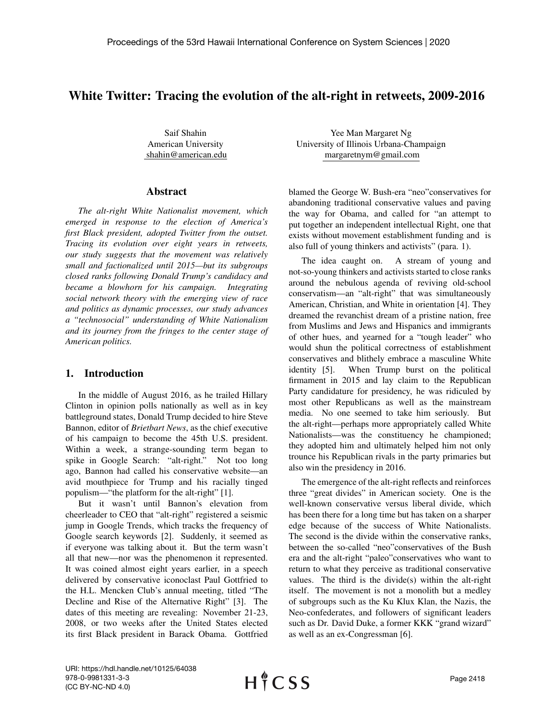# White Twitter: Tracing the evolution of the alt-right in retweets, 2009-2016

Saif Shahin American University shahin@american.edu

#### Abstract

*The alt-right White Nationalist movement, which emerged in response to the election of America's first Black president, adopted Twitter from the outset. Tracing its evolution over eight years in retweets, our study suggests that the movement was relatively small and factionalized until 2015—but its subgroups closed ranks following Donald Trump's candidacy and became a blowhorn for his campaign. Integrating social network theory with the emerging view of race and politics as dynamic processes, our study advances a "technosocial" understanding of White Nationalism and its journey from the fringes to the center stage of American politics.*

#### 1. Introduction

In the middle of August 2016, as he trailed Hillary Clinton in opinion polls nationally as well as in key battleground states, Donald Trump decided to hire Steve Bannon, editor of *Brietbart News*, as the chief executive of his campaign to become the 45th U.S. president. Within a week, a strange-sounding term began to spike in Google Search: "alt-right." Not too long ago, Bannon had called his conservative website—an avid mouthpiece for Trump and his racially tinged populism—"the platform for the alt-right" [1].

But it wasn't until Bannon's elevation from cheerleader to CEO that "alt-right" registered a seismic jump in Google Trends, which tracks the frequency of Google search keywords [2]. Suddenly, it seemed as if everyone was talking about it. But the term wasn't all that new—nor was the phenomenon it represented. It was coined almost eight years earlier, in a speech delivered by conservative iconoclast Paul Gottfried to the H.L. Mencken Club's annual meeting, titled "The Decline and Rise of the Alternative Right" [3]. The dates of this meeting are revealing: November 21-23, 2008, or two weeks after the United States elected its first Black president in Barack Obama. Gottfried

Yee Man Margaret Ng University of Illinois Urbana-Champaign margaretnym@gmail.com

blamed the George W. Bush-era "neo"conservatives for abandoning traditional conservative values and paving the way for Obama, and called for "an attempt to put together an independent intellectual Right, one that exists without movement establishment funding and is also full of young thinkers and activists" (para. 1).

The idea caught on. A stream of young and not-so-young thinkers and activists started to close ranks around the nebulous agenda of reviving old-school conservatism—an "alt-right" that was simultaneously American, Christian, and White in orientation [4]. They dreamed the revanchist dream of a pristine nation, free from Muslims and Jews and Hispanics and immigrants of other hues, and yearned for a "tough leader" who would shun the political correctness of establishment conservatives and blithely embrace a masculine White identity [5]. When Trump burst on the political firmament in 2015 and lay claim to the Republican Party candidature for presidency, he was ridiculed by most other Republicans as well as the mainstream media. No one seemed to take him seriously. But the alt-right—perhaps more appropriately called White Nationalists—was the constituency he championed; they adopted him and ultimately helped him not only trounce his Republican rivals in the party primaries but also win the presidency in 2016.

The emergence of the alt-right reflects and reinforces three "great divides" in American society. One is the well-known conservative versus liberal divide, which has been there for a long time but has taken on a sharper edge because of the success of White Nationalists. The second is the divide within the conservative ranks, between the so-called "neo"conservatives of the Bush era and the alt-right "paleo"conservatives who want to return to what they perceive as traditional conservative values. The third is the divide(s) within the alt-right itself. The movement is not a monolith but a medley of subgroups such as the Ku Klux Klan, the Nazis, the Neo-confederates, and followers of significant leaders such as Dr. David Duke, a former KKK "grand wizard" as well as an ex-Congressman [6].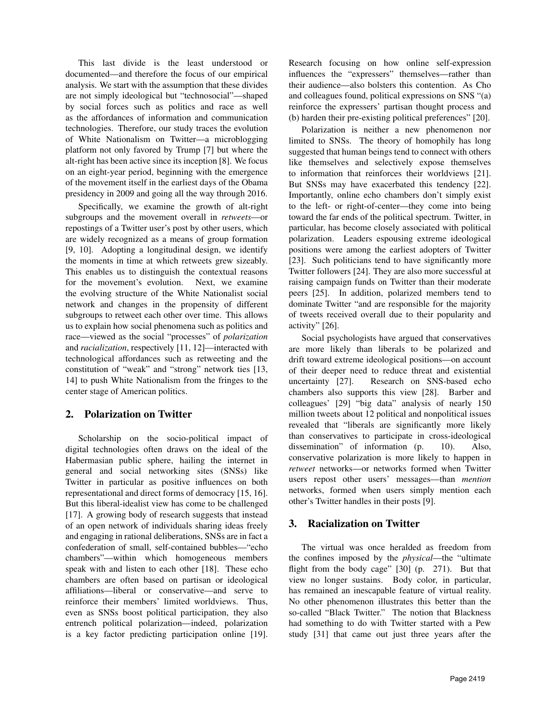This last divide is the least understood or documented—and therefore the focus of our empirical analysis. We start with the assumption that these divides are not simply ideological but "technosocial"—shaped by social forces such as politics and race as well as the affordances of information and communication technologies. Therefore, our study traces the evolution of White Nationalism on Twitter—a microblogging platform not only favored by Trump [7] but where the alt-right has been active since its inception [8]. We focus on an eight-year period, beginning with the emergence of the movement itself in the earliest days of the Obama presidency in 2009 and going all the way through 2016.

Specifically, we examine the growth of alt-right subgroups and the movement overall in *retweets*—or repostings of a Twitter user's post by other users, which are widely recognized as a means of group formation [9, 10]. Adopting a longitudinal design, we identify the moments in time at which retweets grew sizeably. This enables us to distinguish the contextual reasons for the movement's evolution. Next, we examine the evolving structure of the White Nationalist social network and changes in the propensity of different subgroups to retweet each other over time. This allows us to explain how social phenomena such as politics and race—viewed as the social "processes" of *polarization* and *racialization*, respectively [11, 12]—interacted with technological affordances such as retweeting and the constitution of "weak" and "strong" network ties [13, 14] to push White Nationalism from the fringes to the center stage of American politics.

## 2. Polarization on Twitter

Scholarship on the socio-political impact of digital technologies often draws on the ideal of the Habermasian public sphere, hailing the internet in general and social networking sites (SNSs) like Twitter in particular as positive influences on both representational and direct forms of democracy [15, 16]. But this liberal-idealist view has come to be challenged [17]. A growing body of research suggests that instead of an open network of individuals sharing ideas freely and engaging in rational deliberations, SNSs are in fact a confederation of small, self-contained bubbles—"echo chambers"—within which homogeneous members speak with and listen to each other [18]. These echo chambers are often based on partisan or ideological affiliations—liberal or conservative—and serve to reinforce their members' limited worldviews. Thus, even as SNSs boost political participation, they also entrench political polarization—indeed, polarization is a key factor predicting participation online [19].

Research focusing on how online self-expression influences the "expressers" themselves—rather than their audience—also bolsters this contention. As Cho and colleagues found, political expressions on SNS "(a) reinforce the expressers' partisan thought process and (b) harden their pre-existing political preferences" [20].

Polarization is neither a new phenomenon nor limited to SNSs. The theory of homophily has long suggested that human beings tend to connect with others like themselves and selectively expose themselves to information that reinforces their worldviews [21]. But SNSs may have exacerbated this tendency [22]. Importantly, online echo chambers don't simply exist to the left- or right-of-center—they come into being toward the far ends of the political spectrum. Twitter, in particular, has become closely associated with political polarization. Leaders espousing extreme ideological positions were among the earliest adopters of Twitter [23]. Such politicians tend to have significantly more Twitter followers [24]. They are also more successful at raising campaign funds on Twitter than their moderate peers [25]. In addition, polarized members tend to dominate Twitter "and are responsible for the majority of tweets received overall due to their popularity and activity" [26].

Social psychologists have argued that conservatives are more likely than liberals to be polarized and drift toward extreme ideological positions—on account of their deeper need to reduce threat and existential uncertainty [27]. Research on SNS-based echo chambers also supports this view [28]. Barber and colleagues' [29] "big data" analysis of nearly 150 million tweets about 12 political and nonpolitical issues revealed that "liberals are significantly more likely than conservatives to participate in cross-ideological dissemination" of information (p. 10). Also, conservative polarization is more likely to happen in *retweet* networks—or networks formed when Twitter users repost other users' messages—than *mention* networks, formed when users simply mention each other's Twitter handles in their posts [9].

## 3. Racialization on Twitter

The virtual was once heralded as freedom from the confines imposed by the *physical*—the "ultimate flight from the body cage" [30] (p. 271). But that view no longer sustains. Body color, in particular, has remained an inescapable feature of virtual reality. No other phenomenon illustrates this better than the so-called "Black Twitter." The notion that Blackness had something to do with Twitter started with a Pew study [31] that came out just three years after the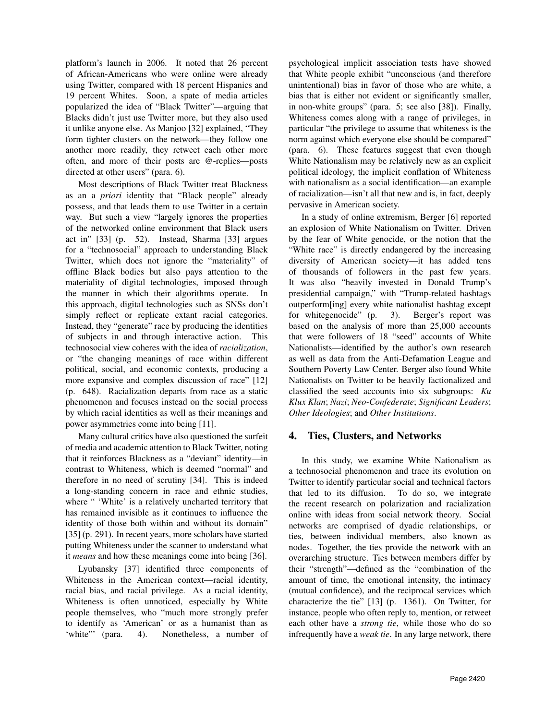platform's launch in 2006. It noted that 26 percent of African-Americans who were online were already using Twitter, compared with 18 percent Hispanics and 19 percent Whites. Soon, a spate of media articles popularized the idea of "Black Twitter"—arguing that Blacks didn't just use Twitter more, but they also used it unlike anyone else. As Manjoo [32] explained, "They form tighter clusters on the network—they follow one another more readily, they retweet each other more often, and more of their posts are @-replies—posts directed at other users" (para. 6).

Most descriptions of Black Twitter treat Blackness as an a *priori* identity that "Black people" already possess, and that leads them to use Twitter in a certain way. But such a view "largely ignores the properties of the networked online environment that Black users act in" [33] (p. 52). Instead, Sharma [33] argues for a "technosocial" approach to understanding Black Twitter, which does not ignore the "materiality" of offline Black bodies but also pays attention to the materiality of digital technologies, imposed through the manner in which their algorithms operate. In this approach, digital technologies such as SNSs don't simply reflect or replicate extant racial categories. Instead, they "generate" race by producing the identities of subjects in and through interactive action. This technosocial view coheres with the idea of *racialization*, or "the changing meanings of race within different political, social, and economic contexts, producing a more expansive and complex discussion of race" [12] (p. 648). Racialization departs from race as a static phenomenon and focuses instead on the social process by which racial identities as well as their meanings and power asymmetries come into being [11].

Many cultural critics have also questioned the surfeit of media and academic attention to Black Twitter, noting that it reinforces Blackness as a "deviant" identity—in contrast to Whiteness, which is deemed "normal" and therefore in no need of scrutiny [34]. This is indeed a long-standing concern in race and ethnic studies, where " 'White' is a relatively uncharted territory that has remained invisible as it continues to influence the identity of those both within and without its domain" [35] (p. 291). In recent years, more scholars have started putting Whiteness under the scanner to understand what it *means* and how these meanings come into being [36].

Lyubansky [37] identified three components of Whiteness in the American context—racial identity, racial bias, and racial privilege. As a racial identity, Whiteness is often unnoticed, especially by White people themselves, who "much more strongly prefer to identify as 'American' or as a humanist than as 'white"" (para. 4). Nonetheless, a number of psychological implicit association tests have showed that White people exhibit "unconscious (and therefore unintentional) bias in favor of those who are white, a bias that is either not evident or significantly smaller, in non-white groups" (para. 5; see also [38]). Finally, Whiteness comes along with a range of privileges, in particular "the privilege to assume that whiteness is the norm against which everyone else should be compared" (para. 6). These features suggest that even though White Nationalism may be relatively new as an explicit political ideology, the implicit conflation of Whiteness with nationalism as a social identification—an example of racialization—isn't all that new and is, in fact, deeply pervasive in American society.

In a study of online extremism, Berger [6] reported an explosion of White Nationalism on Twitter. Driven by the fear of White genocide, or the notion that the "White race" is directly endangered by the increasing diversity of American society—it has added tens of thousands of followers in the past few years. It was also "heavily invested in Donald Trump's presidential campaign," with "Trump-related hashtags outperform[ing] every white nationalist hashtag except for whitegenocide" (p. 3). Berger's report was based on the analysis of more than 25,000 accounts that were followers of 18 "seed" accounts of White Nationalists—identified by the author's own research as well as data from the Anti-Defamation League and Southern Poverty Law Center. Berger also found White Nationalists on Twitter to be heavily factionalized and classified the seed accounts into six subgroups: *Ku Klux Klan*; *Nazi*; *Neo-Confederate*; *Significant Leaders*; *Other Ideologies*; and *Other Institutions*.

## 4. Ties, Clusters, and Networks

In this study, we examine White Nationalism as a technosocial phenomenon and trace its evolution on Twitter to identify particular social and technical factors that led to its diffusion. To do so, we integrate the recent research on polarization and racialization online with ideas from social network theory. Social networks are comprised of dyadic relationships, or ties, between individual members, also known as nodes. Together, the ties provide the network with an overarching structure. Ties between members differ by their "strength"—defined as the "combination of the amount of time, the emotional intensity, the intimacy (mutual confidence), and the reciprocal services which characterize the tie" [13] (p. 1361). On Twitter, for instance, people who often reply to, mention, or retweet each other have a *strong tie*, while those who do so infrequently have a *weak tie*. In any large network, there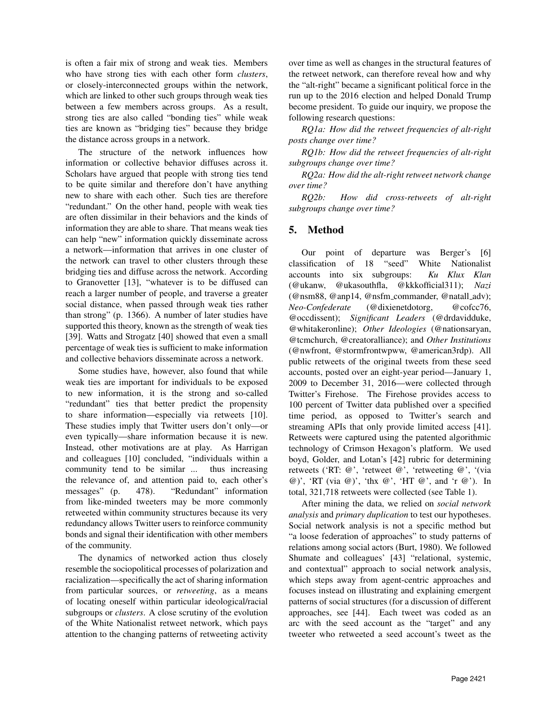is often a fair mix of strong and weak ties. Members who have strong ties with each other form *clusters*, or closely-interconnected groups within the network, which are linked to other such groups through weak ties between a few members across groups. As a result, strong ties are also called "bonding ties" while weak ties are known as "bridging ties" because they bridge the distance across groups in a network.

The structure of the network influences how information or collective behavior diffuses across it. Scholars have argued that people with strong ties tend to be quite similar and therefore don't have anything new to share with each other. Such ties are therefore "redundant." On the other hand, people with weak ties are often dissimilar in their behaviors and the kinds of information they are able to share. That means weak ties can help "new" information quickly disseminate across a network—information that arrives in one cluster of the network can travel to other clusters through these bridging ties and diffuse across the network. According to Granovetter [13], "whatever is to be diffused can reach a larger number of people, and traverse a greater social distance, when passed through weak ties rather than strong" (p. 1366). A number of later studies have supported this theory, known as the strength of weak ties [39]. Watts and Strogatz [40] showed that even a small percentage of weak ties is sufficient to make information and collective behaviors disseminate across a network.

Some studies have, however, also found that while weak ties are important for individuals to be exposed to new information, it is the strong and so-called "redundant" ties that better predict the propensity to share information—especially via retweets [10]. These studies imply that Twitter users don't only—or even typically—share information because it is new. Instead, other motivations are at play. As Harrigan and colleagues [10] concluded, "individuals within a community tend to be similar ... thus increasing the relevance of, and attention paid to, each other's messages" (p. 478). "Redundant" information from like-minded tweeters may be more commonly retweeted within community structures because its very redundancy allows Twitter users to reinforce community bonds and signal their identification with other members of the community.

The dynamics of networked action thus closely resemble the sociopolitical processes of polarization and racialization—specifically the act of sharing information from particular sources, or *retweeting*, as a means of locating oneself within particular ideological/racial subgroups or *clusters*. A close scrutiny of the evolution of the White Nationalist retweet network, which pays attention to the changing patterns of retweeting activity over time as well as changes in the structural features of the retweet network, can therefore reveal how and why the "alt-right" became a significant political force in the run up to the 2016 election and helped Donald Trump become president. To guide our inquiry, we propose the following research questions:

*RQ1a: How did the retweet frequencies of alt-right posts change over time?*

*RQ1b: How did the retweet frequencies of alt-right subgroups change over time?*

*RQ2a: How did the alt-right retweet network change over time?*

*RQ2b: How did cross-retweets of alt-right subgroups change over time?*

## 5. Method

Our point of departure was Berger's [6] classification of 18 "seed" White Nationalist accounts into six subgroups: *Ku Klux Klan* (@ukanw, @ukasouthfla, @kkkofficial311); *Nazi* (@nsm88, @anp14, @nsfm commander, @natall adv); *Neo-Confederate* (@dixienetdotorg, @cofcc76, @occdissent); *Significant Leaders* (@drdavidduke, @whitakeronline); *Other Ideologies* (@nationsaryan, @tcmchurch, @creatoralliance); and *Other Institutions* (@nwfront, @stormfrontwpww, @american3rdp). All public retweets of the original tweets from these seed accounts, posted over an eight-year period—January 1, 2009 to December 31, 2016—were collected through Twitter's Firehose. The Firehose provides access to 100 percent of Twitter data published over a specified time period, as opposed to Twitter's search and streaming APIs that only provide limited access [41]. Retweets were captured using the patented algorithmic technology of Crimson Hexagon's platform. We used boyd, Golder, and Lotan's [42] rubric for determining retweets ('RT: @', 'retweet @', 'retweeting @', '(via @)', 'RT (via @)', 'thx @', 'HT @', and 'r @'). In total, 321,718 retweets were collected (see Table 1).

After mining the data, we relied on *social network analysis* and *primary duplication* to test our hypotheses. Social network analysis is not a specific method but "a loose federation of approaches" to study patterns of relations among social actors (Burt, 1980). We followed Shumate and colleagues' [43] "relational, systemic, and contextual" approach to social network analysis, which steps away from agent-centric approaches and focuses instead on illustrating and explaining emergent patterns of social structures (for a discussion of different approaches, see [44]. Each tweet was coded as an arc with the seed account as the "target" and any tweeter who retweeted a seed account's tweet as the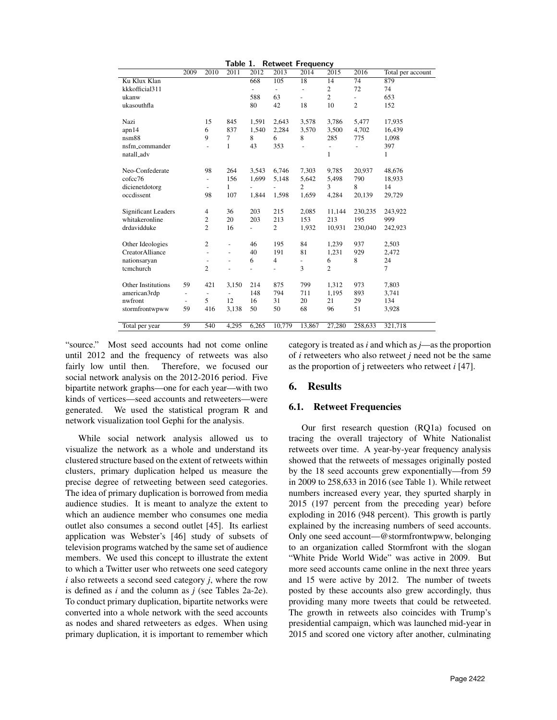|                            |                          |                          | Table 1.       |                |                          | <b>Retweet Frequency</b> |                |                          |                   |
|----------------------------|--------------------------|--------------------------|----------------|----------------|--------------------------|--------------------------|----------------|--------------------------|-------------------|
|                            | 2009                     | 2010                     | 2011           | 2012           | 2013                     | 2014                     | 2015           | 2016                     | Total per account |
| Ku Klux Klan               |                          |                          |                | 668            | 105                      | 18                       | 14             | 74                       | 879               |
| kkkofficial311             |                          |                          |                | $\blacksquare$ | $\overline{\phantom{a}}$ | $\overline{\phantom{0}}$ | 2              | 72                       | 74                |
| ukanw                      |                          |                          |                | 588            | 63                       | $\overline{a}$           | $\overline{c}$ | $\overline{a}$           | 653               |
| ukasouthfla                |                          |                          |                | 80             | 42                       | 18                       | 10             | $\overline{c}$           | 152               |
|                            |                          |                          |                |                |                          |                          |                |                          |                   |
| Nazi                       |                          | 15                       | 845            | 1,591          | 2,643                    | 3,578                    | 3,786          | 5,477                    | 17,935            |
| apn14                      |                          | 6                        | 837            | 1,540          | 2,284                    | 3,570                    | 3,500          | 4,702                    | 16,439            |
| n <sub>sm88</sub>          |                          | 9                        | 7              | 8              | 6                        | 8                        | 285            | 775                      | 1,098             |
| nsfm_commander             |                          | Ξ                        | $\mathbf{1}$   | 43             | 353                      |                          | ÷,             | $\overline{\phantom{0}}$ | 397               |
| natall_adv                 |                          |                          |                |                |                          |                          | 1              |                          | 1                 |
|                            |                          |                          |                |                |                          |                          |                |                          |                   |
| Neo-Confederate            |                          | 98                       | 264            | 3,543          | 6,746                    | 7,303                    | 9,785          | 20,937                   | 48,676            |
| cofcc76                    |                          | $\overline{\phantom{a}}$ | 156            | 1,699          | 5,148                    | 5,642                    | 5,498          | 790                      | 18,933            |
| dicienetdotorg             |                          | $\overline{\phantom{a}}$ | 1              | $\overline{a}$ |                          | $\mathfrak{2}$           | 3              | 8                        | 14                |
| occdissent                 |                          | 98                       | 107            | 1,844          | 1,598                    | 1,659                    | 4,284          | 20,139                   | 29,729            |
|                            |                          |                          |                |                |                          |                          |                |                          |                   |
| <b>Significant Leaders</b> |                          | 4                        | 36             | 203            | 215                      | 2,085                    | 11,144         | 230,235                  | 243,922           |
| whitakeronline             |                          | $\mathfrak{2}$           | 20             | 203            | 213                      | 153                      | 213            | 195                      | 999               |
| drdavidduke                |                          | $\overline{c}$           | 16             |                | 2                        | 1,932                    | 10,931         | 230,040                  | 242,923           |
|                            |                          |                          |                |                |                          |                          |                |                          |                   |
| Other Ideologies           |                          | 2                        | $\overline{a}$ | 46             | 195                      | 84                       | 1,239          | 937                      | 2,503             |
| CreatorAlliance            |                          |                          | Ξ              | 40             | 191                      | 81                       | 1,231          | 929                      | 2,472             |
| nationsaryan               |                          |                          | $\overline{a}$ | 6              | $\overline{4}$           |                          | 6              | 8                        | 24                |
| tcmchurch                  |                          | $\overline{2}$           |                | $\overline{a}$ | $\overline{a}$           | 3                        | $\overline{c}$ |                          | $\tau$            |
|                            |                          |                          |                |                |                          |                          |                |                          |                   |
| Other Institutions         | 59                       | 421                      | 3,150          | 214            | 875                      | 799                      | 1,312          | 973                      | 7,803             |
| american3rdp               | $\overline{\phantom{a}}$ | $\overline{\phantom{a}}$ | $\overline{a}$ | 148            | 794                      | 711                      | 1,195          | 893                      | 3,741             |
| nwfront                    | $\overline{\phantom{a}}$ | 5                        | 12             | 16             | 31                       | 20                       | 21             | 29                       | 134               |
| stormfrontwpww             | 59                       | 416                      | 3,138          | 50             | 50                       | 68                       | 96             | 51                       | 3,928             |
|                            |                          |                          |                |                |                          |                          |                |                          |                   |
| Total per year             | 59                       | 540                      | 4,295          | 6,265          | 10,779                   | 13,867                   | 27,280         | 258,633                  | 321,718           |

"source." Most seed accounts had not come online until 2012 and the frequency of retweets was also<br>fairly low until then. Therefore, we focused our Therefore, we focused our social network analysis on the 2012-2016 period. Five bipartite network graphs—one for each year—with two kinds of vertices—seed accounts and retweeters—were generated. We used the statistical program R and network visualization tool Gephi for the analysis.

While social network analysis allowed us to visualize the network as a whole and understand its clustered structure based on the extent of retweets within clusters, primary duplication helped us measure the precise degree of retweeting between seed categories. The idea of primary duplication is borrowed from media audience studies. It is meant to analyze the extent to which an audience member who consumes one media outlet also consumes a second outlet [45]. Its earliest application was Webster's [46] study of subsets of television programs watched by the same set of audience members. We used this concept to illustrate the extent to which a Twitter user who retweets one seed category *i* also retweets a second seed category *j*, where the row is defined as *i* and the column as *j* (see Tables 2a-2e). To conduct primary duplication, bipartite networks were converted into a whole network with the seed accounts as nodes and shared retweeters as edges. When using primary duplication, it is important to remember which

category is treated as *i* and which as *j*—as the proportion of *i* retweeters who also retweet *j* need not be the same as the proportion of j retweeters who retweet *i* [47].

## 6. Results

## 6.1. Retweet Frequencies

Our first research question (RQ1a) focused on tracing the overall trajectory of White Nationalist retweets over time. A year-by-year frequency analysis showed that the retweets of messages originally posted by the 18 seed accounts grew exponentially—from 59 in 2009 to 258,633 in 2016 (see Table 1). While retweet numbers increased every year, they spurted sharply in 2015 (197 percent from the preceding year) before exploding in 2016 (948 percent). This growth is partly explained by the increasing numbers of seed accounts. Only one seed account—@stormfrontwpww, belonging to an organization called Stormfront with the slogan "White Pride World Wide" was active in 2009. But more seed accounts came online in the next three years and 15 were active by 2012. The number of tweets posted by these accounts also grew accordingly, thus providing many more tweets that could be retweeted. The growth in retweets also coincides with Trump's presidential campaign, which was launched mid-year in 2015 and scored one victory after another, culminating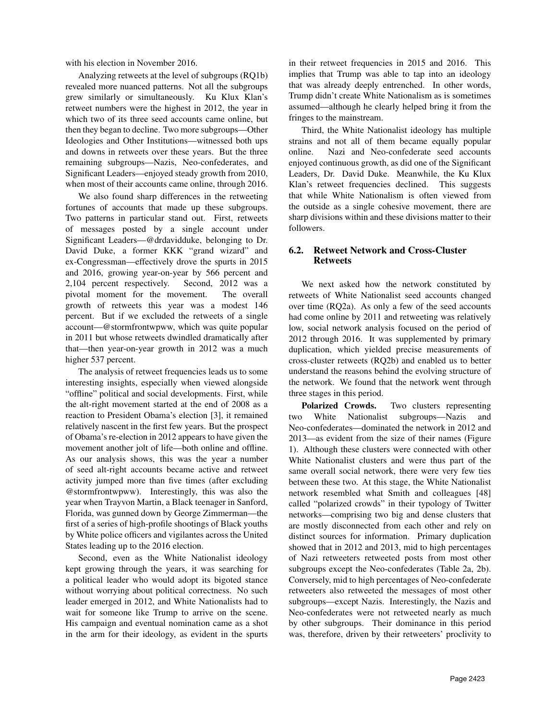with his election in November 2016.

Analyzing retweets at the level of subgroups (RQ1b) revealed more nuanced patterns. Not all the subgroups grew similarly or simultaneously. Ku Klux Klan's retweet numbers were the highest in 2012, the year in which two of its three seed accounts came online, but then they began to decline. Two more subgroups—Other Ideologies and Other Institutions—witnessed both ups and downs in retweets over these years. But the three remaining subgroups—Nazis, Neo-confederates, and Significant Leaders—enjoyed steady growth from 2010, when most of their accounts came online, through 2016.

We also found sharp differences in the retweeting fortunes of accounts that made up these subgroups. Two patterns in particular stand out. First, retweets of messages posted by a single account under Significant Leaders—@drdavidduke, belonging to Dr. David Duke, a former KKK "grand wizard" and ex-Congressman—effectively drove the spurts in 2015 and 2016, growing year-on-year by 566 percent and 2,104 percent respectively. Second, 2012 was a pivotal moment for the movement. The overall growth of retweets this year was a modest 146 percent. But if we excluded the retweets of a single account—@stormfrontwpww, which was quite popular in 2011 but whose retweets dwindled dramatically after that—then year-on-year growth in 2012 was a much higher 537 percent.

The analysis of retweet frequencies leads us to some interesting insights, especially when viewed alongside "offline" political and social developments. First, while the alt-right movement started at the end of 2008 as a reaction to President Obama's election [3], it remained relatively nascent in the first few years. But the prospect of Obama's re-election in 2012 appears to have given the movement another jolt of life—both online and offline. As our analysis shows, this was the year a number of seed alt-right accounts became active and retweet activity jumped more than five times (after excluding @stormfrontwpww). Interestingly, this was also the year when Trayvon Martin, a Black teenager in Sanford, Florida, was gunned down by George Zimmerman—the first of a series of high-profile shootings of Black youths by White police officers and vigilantes across the United States leading up to the 2016 election.

Second, even as the White Nationalist ideology kept growing through the years, it was searching for a political leader who would adopt its bigoted stance without worrying about political correctness. No such leader emerged in 2012, and White Nationalists had to wait for someone like Trump to arrive on the scene. His campaign and eventual nomination came as a shot in the arm for their ideology, as evident in the spurts

in their retweet frequencies in 2015 and 2016. This implies that Trump was able to tap into an ideology that was already deeply entrenched. In other words, Trump didn't create White Nationalism as is sometimes assumed—although he clearly helped bring it from the fringes to the mainstream.

Third, the White Nationalist ideology has multiple strains and not all of them became equally popular online. Nazi and Neo-confederate seed accounts enjoyed continuous growth, as did one of the Significant Leaders, Dr. David Duke. Meanwhile, the Ku Klux Klan's retweet frequencies declined. This suggests that while White Nationalism is often viewed from the outside as a single cohesive movement, there are sharp divisions within and these divisions matter to their followers.

#### 6.2. Retweet Network and Cross-Cluster Retweets

We next asked how the network constituted by retweets of White Nationalist seed accounts changed over time (RQ2a). As only a few of the seed accounts had come online by 2011 and retweeting was relatively low, social network analysis focused on the period of 2012 through 2016. It was supplemented by primary duplication, which yielded precise measurements of cross-cluster retweets (RQ2b) and enabled us to better understand the reasons behind the evolving structure of the network. We found that the network went through three stages in this period.

Polarized Crowds. Two clusters representing two White Nationalist subgroups—Nazis and Neo-confederates—dominated the network in 2012 and 2013—as evident from the size of their names (Figure 1). Although these clusters were connected with other White Nationalist clusters and were thus part of the same overall social network, there were very few ties between these two. At this stage, the White Nationalist network resembled what Smith and colleagues [48] called "polarized crowds" in their typology of Twitter networks—comprising two big and dense clusters that are mostly disconnected from each other and rely on distinct sources for information. Primary duplication showed that in 2012 and 2013, mid to high percentages of Nazi retweeters retweeted posts from most other subgroups except the Neo-confederates (Table 2a, 2b). Conversely, mid to high percentages of Neo-confederate retweeters also retweeted the messages of most other subgroups—except Nazis. Interestingly, the Nazis and Neo-confederates were not retweeted nearly as much by other subgroups. Their dominance in this period was, therefore, driven by their retweeters' proclivity to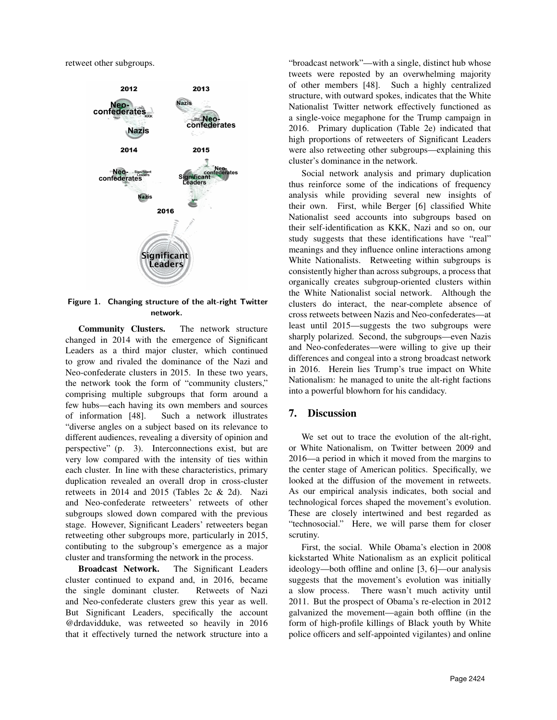retweet other subgroups.



Figure 1. Changing structure of the alt-right Twitter network.

Community Clusters. The network structure changed in 2014 with the emergence of Significant Leaders as a third major cluster, which continued to grow and rivaled the dominance of the Nazi and Neo-confederate clusters in 2015. In these two years, the network took the form of "community clusters," comprising multiple subgroups that form around a few hubs—each having its own members and sources of information [48]. Such a network illustrates "diverse angles on a subject based on its relevance to different audiences, revealing a diversity of opinion and perspective" (p. 3). Interconnections exist, but are very low compared with the intensity of ties within each cluster. In line with these characteristics, primary duplication revealed an overall drop in cross-cluster retweets in 2014 and 2015 (Tables 2c & 2d). Nazi and Neo-confederate retweeters' retweets of other subgroups slowed down compared with the previous stage. However, Significant Leaders' retweeters began retweeting other subgroups more, particularly in 2015, contibuting to the subgroup's emergence as a major cluster and transforming the network in the process.

Broadcast Network. The Significant Leaders cluster continued to expand and, in 2016, became the single dominant cluster. Retweets of Nazi and Neo-confederate clusters grew this year as well. But Significant Leaders, specifically the account @drdavidduke, was retweeted so heavily in 2016 that it effectively turned the network structure into a

"broadcast network"—with a single, distinct hub whose tweets were reposted by an overwhelming majority of other members [48]. Such a highly centralized structure, with outward spokes, indicates that the White Nationalist Twitter network effectively functioned as a single-voice megaphone for the Trump campaign in 2016. Primary duplication (Table 2e) indicated that high proportions of retweeters of Significant Leaders were also retweeting other subgroups—explaining this cluster's dominance in the network.

Social network analysis and primary duplication thus reinforce some of the indications of frequency analysis while providing several new insights of their own. First, while Berger [6] classified White Nationalist seed accounts into subgroups based on their self-identification as KKK, Nazi and so on, our study suggests that these identifications have "real" meanings and they influence online interactions among White Nationalists. Retweeting within subgroups is consistently higher than across subgroups, a process that organically creates subgroup-oriented clusters within the White Nationalist social network. Although the clusters do interact, the near-complete absence of cross retweets between Nazis and Neo-confederates—at least until 2015—suggests the two subgroups were sharply polarized. Second, the subgroups—even Nazis and Neo-confederates—were willing to give up their differences and congeal into a strong broadcast network in 2016. Herein lies Trump's true impact on White Nationalism: he managed to unite the alt-right factions into a powerful blowhorn for his candidacy.

## 7. Discussion

We set out to trace the evolution of the alt-right, or White Nationalism, on Twitter between 2009 and 2016—a period in which it moved from the margins to the center stage of American politics. Specifically, we looked at the diffusion of the movement in retweets. As our empirical analysis indicates, both social and technological forces shaped the movement's evolution. These are closely intertwined and best regarded as "technosocial." Here, we will parse them for closer scrutiny.

First, the social. While Obama's election in 2008 kickstarted White Nationalism as an explicit political ideology—both offline and online [3, 6]—our analysis suggests that the movement's evolution was initially a slow process. There wasn't much activity until 2011. But the prospect of Obama's re-election in 2012 galvanized the movement—again both offline (in the form of high-profile killings of Black youth by White police officers and self-appointed vigilantes) and online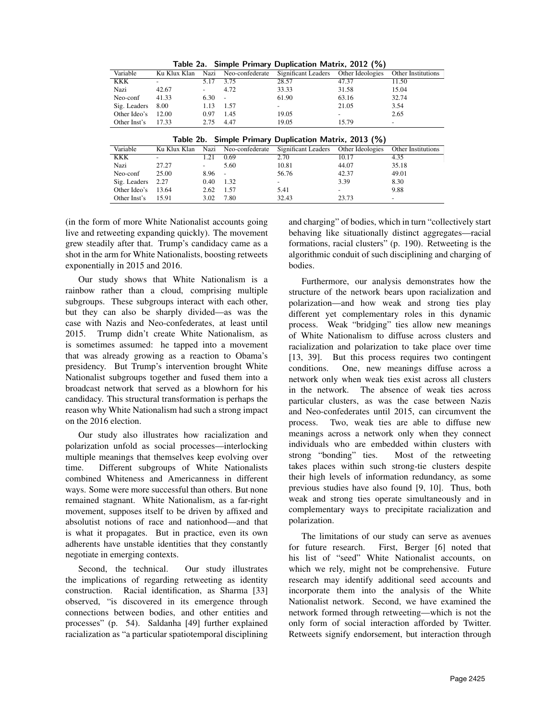| Table 2a. Simple Primary Duplication Matrix, 2012 (%) |              |       |        |                                                      |       |                           |  |
|-------------------------------------------------------|--------------|-------|--------|------------------------------------------------------|-------|---------------------------|--|
| Variable                                              | Ku Klux Klan | Nazi  |        | Neo-confederate Significant Leaders Other Ideologies |       | <b>Other Institutions</b> |  |
| KKK                                                   |              | 5 1 7 | 3.75   | 28.57                                                | 47.37 | 11.50                     |  |
| Nazi                                                  | 42.67        | ۰.    | 4.72   | 33.33                                                | 31.58 | 15.04                     |  |
| Neo-conf                                              | 41.33        | 6.30  | $\sim$ | 61.90                                                | 63.16 | 32.74                     |  |
| Sig. Leaders                                          | 8.00         | 1.13  | 1.57   |                                                      | 21.05 | 3.54                      |  |
| Other Ideo's                                          | 12.00        | 0.97  | 1.45   | 19.05                                                | ۰     | 2.65                      |  |
| Other Inst's                                          | 17.33        | 2.75  | 4.47   | 19.05                                                | 15.79 | -                         |  |

|  | Table 2b. Simple Primary Duplication Matrix, 2013 (%) |  |  |  |  |  |
|--|-------------------------------------------------------|--|--|--|--|--|
|--|-------------------------------------------------------|--|--|--|--|--|

|              |              |      | . .                      |                     |                  |                           |
|--------------|--------------|------|--------------------------|---------------------|------------------|---------------------------|
| Variable     | Ku Klux Klan | Nazi | Neo-confederate          | Significant Leaders | Other Ideologies | <b>Other Institutions</b> |
| KKK          |              | 1.21 | 0.69                     | 2.70                | 10.17            | 4.35                      |
| Nazi         | 27.27        | ۰    | 5.60                     | 10.81               | 44.07            | 35.18                     |
| Neo-conf     | 25.00        | 8.96 | $\overline{\phantom{a}}$ | 56.76               | 42.37            | 49.01                     |
| Sig. Leaders | 2.27         | 0.40 | 1.32                     | -                   | 3.39             | 8.30                      |
| Other Ideo's | 13.64        | 2.62 | 1.57                     | 5.41                |                  | 9.88                      |
| Other Inst's | 15.91        | 3.02 | 7.80                     | 32.43               | 23.73            |                           |

(in the form of more White Nationalist accounts going live and retweeting expanding quickly). The movement grew steadily after that. Trump's candidacy came as a shot in the arm for White Nationalists, boosting retweets exponentially in 2015 and 2016.

Our study shows that White Nationalism is a rainbow rather than a cloud, comprising multiple subgroups. These subgroups interact with each other, but they can also be sharply divided—as was the case with Nazis and Neo-confederates, at least until 2015. Trump didn't create White Nationalism, as is sometimes assumed: he tapped into a movement that was already growing as a reaction to Obama's presidency. But Trump's intervention brought White Nationalist subgroups together and fused them into a broadcast network that served as a blowhorn for his candidacy. This structural transformation is perhaps the reason why White Nationalism had such a strong impact on the 2016 election.

Our study also illustrates how racialization and polarization unfold as social processes—interlocking multiple meanings that themselves keep evolving over time. Different subgroups of White Nationalists combined Whiteness and Americanness in different ways. Some were more successful than others. But none remained stagnant. White Nationalism, as a far-right movement, supposes itself to be driven by affixed and absolutist notions of race and nationhood—and that is what it propagates. But in practice, even its own adherents have unstable identities that they constantly negotiate in emerging contexts.

Second, the technical. Our study illustrates the implications of regarding retweeting as identity construction. Racial identification, as Sharma [33] observed, "is discovered in its emergence through connections between bodies, and other entities and processes" (p. 54). Saldanha [49] further explained racialization as "a particular spatiotemporal disciplining and charging" of bodies, which in turn "collectively start behaving like situationally distinct aggregates—racial formations, racial clusters" (p. 190). Retweeting is the algorithmic conduit of such disciplining and charging of bodies.

Furthermore, our analysis demonstrates how the structure of the network bears upon racialization and polarization—and how weak and strong ties play different yet complementary roles in this dynamic process. Weak "bridging" ties allow new meanings of White Nationalism to diffuse across clusters and racialization and polarization to take place over time [13, 39]. But this process requires two contingent conditions. One, new meanings diffuse across a network only when weak ties exist across all clusters in the network. The absence of weak ties across particular clusters, as was the case between Nazis and Neo-confederates until 2015, can circumvent the process. Two, weak ties are able to diffuse new meanings across a network only when they connect individuals who are embedded within clusters with strong "bonding" ties. Most of the retweeting Most of the retweeting takes places within such strong-tie clusters despite their high levels of information redundancy, as some previous studies have also found [9, 10]. Thus, both weak and strong ties operate simultaneously and in complementary ways to precipitate racialization and polarization.

The limitations of our study can serve as avenues for future research. First, Berger [6] noted that his list of "seed" White Nationalist accounts, on which we rely, might not be comprehensive. Future research may identify additional seed accounts and incorporate them into the analysis of the White Nationalist network. Second, we have examined the network formed through retweeting—which is not the only form of social interaction afforded by Twitter. Retweets signify endorsement, but interaction through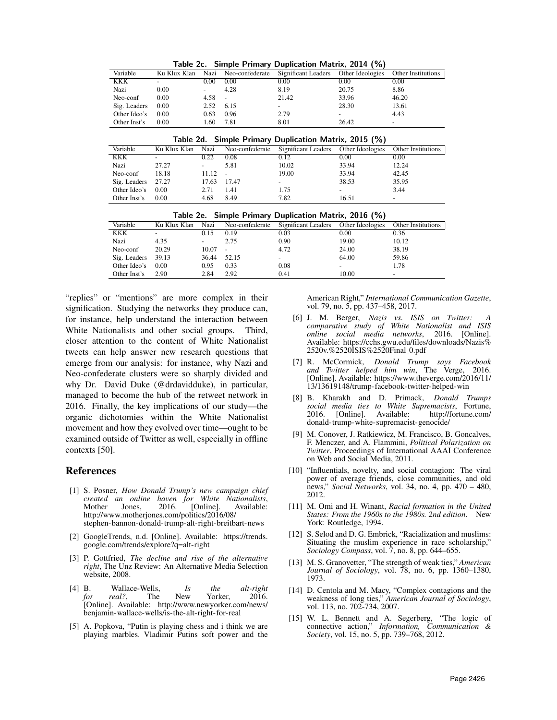| Table 2C. Simple Primary Duplication Matrix, 2014 (70) |              |                          |      |                                                      |       |                          |  |  |
|--------------------------------------------------------|--------------|--------------------------|------|------------------------------------------------------|-------|--------------------------|--|--|
| Variable                                               | Ku Klux Klan | Nazi                     |      | Neo-confederate Significant Leaders Other Ideologies |       | Other Institutions       |  |  |
| KKK                                                    |              | 0.00                     | 0.00 | 0.00                                                 | 0.00  | 0.00                     |  |  |
| Nazi                                                   | 0.00         | $\overline{\phantom{0}}$ | 4.28 | 8.19                                                 | 20.75 | 8.86                     |  |  |
| Neo-conf                                               | 0.00         | 4.58                     |      | 21.42                                                | 33.96 | 46.20                    |  |  |
| Sig. Leaders                                           | 0.00         | 2.52                     | 6.15 |                                                      | 28.30 | 13.61                    |  |  |
| Other Ideo's                                           | 0.00         | 0.63                     | 0.96 | 2.79                                                 | ۰     | 4.43                     |  |  |
| Other Inst's                                           | 0.00         | 1.60                     | 7.81 | 8.01                                                 | 26.42 | $\overline{\phantom{a}}$ |  |  |

Simple Primary Duplication Matrix, 2014 (%)

| Table 2d. Simple Primary Duplication Matrix, 2015 (%) |  |  |  |  |  |
|-------------------------------------------------------|--|--|--|--|--|
|-------------------------------------------------------|--|--|--|--|--|

| Variable           | Ku Klux Klan             |                          |      | Nazi Neo-confederate Significant Leaders Other Ideologies |       | <b>Other Institutions</b> |
|--------------------|--------------------------|--------------------------|------|-----------------------------------------------------------|-------|---------------------------|
| KKK                | $\overline{\phantom{a}}$ | 0.22                     | 0.08 | 0.12                                                      | 0.00  | 0.00                      |
| Nazi               | 27.27                    | $\overline{\phantom{a}}$ | 5.81 | 10.02                                                     | 33.94 | 12.24                     |
| Neo-conf           | 18.18                    | 11.12                    |      | 19.00                                                     | 33.94 | 42.45                     |
| Sig. Leaders 27.27 |                          | 17.63 17.47              |      |                                                           | 38.53 | 35.95                     |
| Other Ideo's 0.00  |                          | 2.71                     | 1.41 | 1.75                                                      | -     | 3.44                      |
| Other Inst's       | 0.00                     | 4.68                     | 8.49 | 7.82                                                      | 16.51 | -                         |

|  | Table 2e. Simple Primary Duplication Matrix, 2016 (%) |  |  |  |  |  |
|--|-------------------------------------------------------|--|--|--|--|--|
|--|-------------------------------------------------------|--|--|--|--|--|

| Variable           | Ku Klux Klan | Nazi                     |                          | Neo-confederate Significant Leaders Other Ideologies |                          | Other Institutions       |
|--------------------|--------------|--------------------------|--------------------------|------------------------------------------------------|--------------------------|--------------------------|
| KKK                | ۰            | 0.15                     | 0.19                     | 0.03                                                 | 0.00                     | 0.36                     |
| Nazi               | 4.35         | $\overline{\phantom{a}}$ | 2.75                     | 0.90                                                 | 19.00                    | 10.12                    |
| Neo-conf           | 20.29        | 10.07                    | $\overline{\phantom{a}}$ | 4.72                                                 | 24.00                    | 38.19                    |
| Sig. Leaders 39.13 |              | 36.44                    | 52.15                    |                                                      | 64.00                    | 59.86                    |
| Other Ideo's       | 0.00         | 0.95                     | 0.33                     | 0.08                                                 | $\overline{\phantom{a}}$ | 1.78                     |
| Other Inst's       | 2.90         | 2.84                     | 2.92                     | 0.41                                                 | 10.00                    | $\overline{\phantom{a}}$ |
|                    |              |                          |                          |                                                      |                          |                          |

"replies" or "mentions" are more complex in their signification. Studying the networks they produce can, for instance, help understand the interaction between White Nationalists and other social groups. Third, closer attention to the content of White Nationalist tweets can help answer new research questions that emerge from our analysis: for instance, why Nazi and Neo-confederate clusters were so sharply divided and why Dr. David Duke (@drdavidduke), in particular, managed to become the hub of the retweet network in 2016. Finally, the key implications of our study—the organic dichotomies within the White Nationalist movement and how they evolved over time—ought to be examined outside of Twitter as well, especially in offline contexts [50].

#### References

- [1] S. Posner, *How Donald Trump's new campaign chief created an online haven for White Nationalists*, Mother Jones, 2016. [Online]. Available: http://www.motherjones.com/politics/2016/08/ stephen-bannon-donald-trump-alt-right-breitbart-news
- [2] GoogleTrends, n.d. [Online]. Available: https://trends. google.com/trends/explore?q=alt-right
- [3] P. Gottfried, *The decline and rise of the alternative right*, The Unz Review: An Alternative Media Selection website, 2008.
- [4] B. Wallace-Wells, *Is the alt-right for real?*, The New Yorker, 2016. [Online]. Available: http://www.newyorker.com/news/ benjamin-wallace-wells/is-the-alt-right-for-real
- [5] A. Popkova, "Putin is playing chess and i think we are playing marbles. Vladimir Putins soft power and the

American Right," *International Communication Gazette*, vol. 79, no. 5, pp. 437–458, 2017.

- [6] J. M. Berger, *Nazis vs. ISIS on Twitter: comparative study of White Nationalist and ISIS online social media networks*, 2016. [Online]. Available: https://cchs.gwu.edu/files/downloads/Nazis% 2520v.%2520ISIS%2520Final 0.pdf
- [7] R. McCormick, *Donald Trump says Facebook and Twitter helped him win*, The Verge, 2016. [Online]. Available: https://www.theverge.com/2016/11/ 13/13619148/trump-facebook-twitter-helped-win
- [8] B. Kharakh and D. Primack, *Donald Trumps social media ties to White Supremacists*, Fortune, 2016. [Online]. Available: donald-trump-white-supremacist-genocide/
- [9] M. Conover, J. Ratkiewicz, M. Francisco, B. Goncalves, F. Menczer, and A. Flammini, *Political Polarization on Twitter*, Proceedings of International AAAI Conference on Web and Social Media, 2011.
- [10] "Influentials, novelty, and social contagion: The viral power of average friends, close communities, and old news," *Social Networks*, vol. 34, no. 4, pp. 470 – 480, 2012.
- [11] M. Omi and H. Winant, *Racial formation in the United States: From the 1960s to the 1980s. 2nd edition*. New York: Routledge, 1994.
- [12] S. Selod and D. G. Embrick, "Racialization and muslims: Situating the muslim experience in race scholarship," *Sociology Compass*, vol. 7, no. 8, pp. 644–655.
- [13] M. S. Granovetter, "The strength of weak ties," *American Journal of Sociology*, vol. 78, no. 6, pp. 1360–1380, 1973.
- [14] D. Centola and M. Macy, "Complex contagions and the weakness of long ties," *American Journal of Sociology*, vol. 113, no. 702-734, 2007.
- [15] W. L. Bennett and A. Segerberg, "The logic of connective action," *Information, Communication & Society*, vol. 15, no. 5, pp. 739–768, 2012.